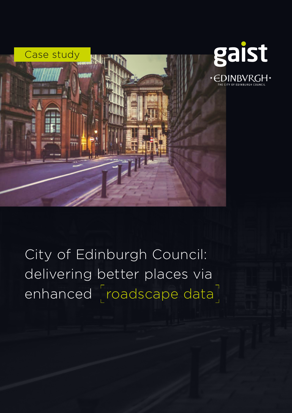

City of Edinburgh Council: delivering better places via enhanced [roadscape data]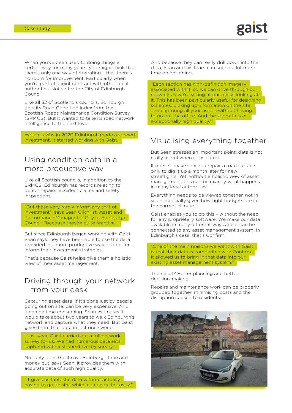When you've been used to doing things a certain way for many years, you might think that there's only one way of operating – that there's no room for improvement. Particularly when you're part of a joint contract with other local authorities. Not so for the City of Edinburgh Council.

Like all 32 of Scotland's councils, Edinburgh gets its Road Condition Index from the Scottish Roads Maintenance Condition Survey (SRMCS). But it wanted to take its road network intelligence to the next level.

Which is why in 2020 Edinburgh made a shrewd investment. It started working with Gaist.

### Using condition data in a more productive way

Like all Scottish councils, in addition to the SRMCS, Edinburgh has records relating to defect repairs, accident claims and safety inspections.

"But these very rarely inform any sort of investment", says Sean Gilchrist, Asset and Performance Manager for City of Edinburgh Council, "because they're quite reactive".

But since Edinburgh began working with Gaist, Sean says they have been able to use the data provided in a more productive way – to better inform their investment strategies.

That's because Gaist helps give them a holistic view of their asset management.

### Driving through your network – from your desk

disruption caused to residents. Capturing asset data, if it's done just by people going out on site, can be very expensive. And it can be time consuming. Sean estimates it would take about two years to walk Edinburgh's network and capture what they need. But Gaist gives them that data in just one sweep.

"Last year, Gaist carried out a full network survey for us. We had numerous data sets captured with just one drive-by survey."

Not only does Gaist save Edinburgh time and money but, says Sean, it provides them with accurate data of such high quality.

"It gives us fantastic data without actually having to go on site, which can be quite costly. And because they can really drill down into the data, Sean and his team can spend a lot more time on designing.

"Each section has high-definition imagery associated with it, so we can drive through our network as we're sitting at our desks looking at it. This has been particularly useful for designing schemes, picking up information on the site, and capturing all your assets without having to go out the office. And the zoom-in is of exceptionally high quality."

## Visualising everything together

But Sean stresses an important point: data is not really useful when it's isolated.

It doesn't make sense to repair a road surface only to dig it up a month later for new streetlights. Yet, without a holistic view of asset management, this can be exactly what happens in many local authorities.

Everything needs to be viewed together, not in silo – especially given how tight budgets are in the current climate.

Gaist enables you to do this – without the need for any proprietary software. We make our data available in many different ways and it can be connected to any asset management system. In Edinburgh's case, that's Confirm.

"One of the main reasons we went with Gaist is that their data is compatible with Confirm. It allowed us to bring in that data into our existing asset management system."

The result? Better planning and better decision-making.

Repairs and maintenance work can be properly grouped together, minimising costs and the